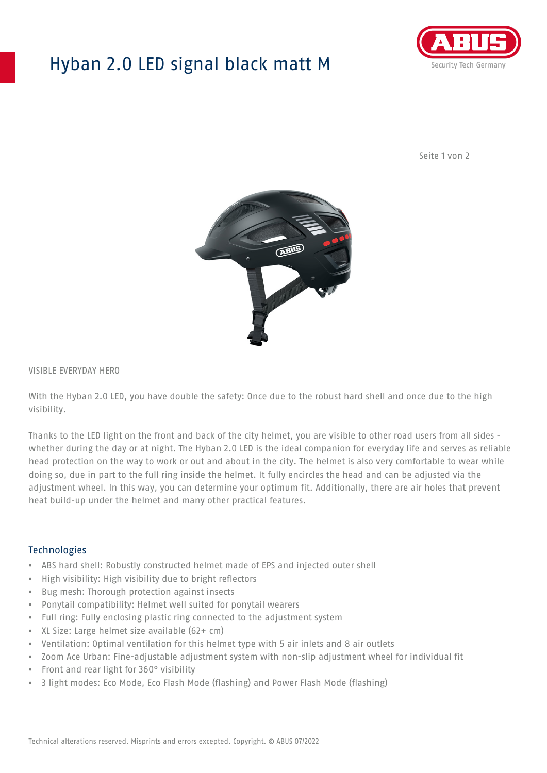## Hyban 2.0 LED signal black matt M



Seite 1 von 2



#### VISIBLE EVERYDAY HERO

With the Hyban 2.0 LED, you have double the safety: Once due to the robust hard shell and once due to the high visibility.

Thanks to the LED light on the front and back of the city helmet, you are visible to other road users from all sides whether during the day or at night. The Hyban 2.0 LED is the ideal companion for everyday life and serves as reliable head protection on the way to work or out and about in the city. The helmet is also very comfortable to wear while doing so, due in part to the full ring inside the helmet. It fully encircles the head and can be adjusted via the adjustment wheel. In this way, you can determine your optimum fit. Additionally, there are air holes that prevent heat build-up under the helmet and many other practical features.

#### Technologies

- ABS hard shell: Robustly constructed helmet made of EPS and injected outer shell
- High visibility: High visibility due to bright reflectors
- Bug mesh: Thorough protection against insects
- Ponytail compatibility: Helmet well suited for ponytail wearers
- Full ring: Fully enclosing plastic ring connected to the adjustment system
- XL Size: Large helmet size available (62+ cm)
- Ventilation: Optimal ventilation for this helmet type with 5 air inlets and 8 air outlets
- Zoom Ace Urban: Fine-adjustable adjustment system with non-slip adjustment wheel for individual fit
- Front and rear light for 360° visibility
- 3 light modes: Eco Mode, Eco Flash Mode (flashing) and Power Flash Mode (flashing)